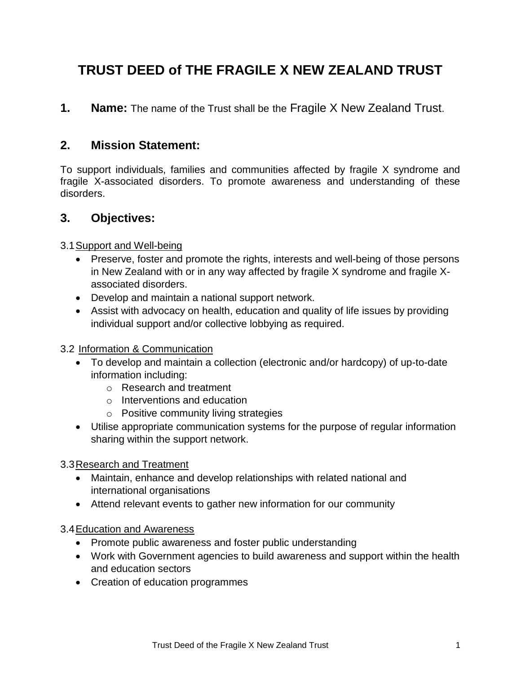# **TRUST DEED of THE FRAGILE X NEW ZEALAND TRUST**

**1. Name:** The name of the Trust shall be the Fragile X New Zealand Trust.

#### **2. Mission Statement:**

To support individuals, families and communities affected by fragile X syndrome and fragile X-associated disorders. To promote awareness and understanding of these disorders.

#### **3. Objectives:**

#### 3.1Support and Well-being

- Preserve, foster and promote the rights, interests and well-being of those persons in New Zealand with or in any way affected by fragile X syndrome and fragile Xassociated disorders.
- Develop and maintain a national support network.
- Assist with advocacy on health, education and quality of life issues by providing individual support and/or collective lobbying as required.

#### 3.2 Information & Communication

- To develop and maintain a collection (electronic and/or hardcopy) of up-to-date information including:
	- o Research and treatment
	- o Interventions and education
	- o Positive community living strategies
- Utilise appropriate communication systems for the purpose of regular information sharing within the support network.

#### 3.3Research and Treatment

- Maintain, enhance and develop relationships with related national and international organisations
- Attend relevant events to gather new information for our community

#### 3.4Education and Awareness

- Promote public awareness and foster public understanding
- Work with Government agencies to build awareness and support within the health and education sectors
- Creation of education programmes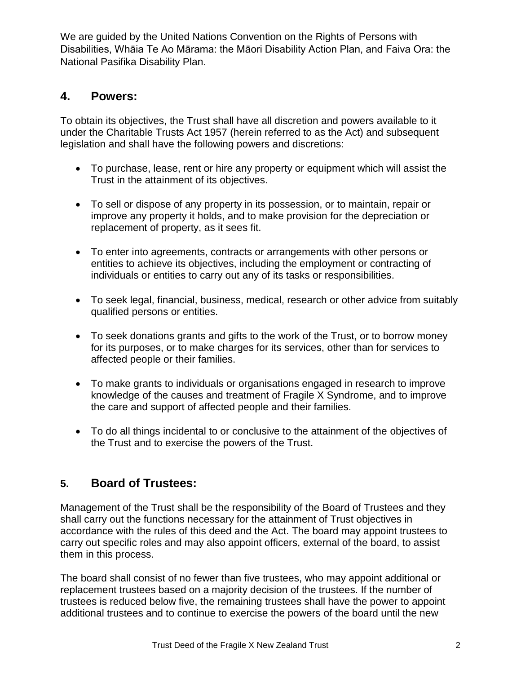We are guided by the United Nations Convention on the Rights of Persons with Disabilities, Whāia Te Ao Mārama: the Māori Disability Action Plan, and Faiva Ora: the National Pasifika Disability Plan.

#### **4. Powers:**

To obtain its objectives, the Trust shall have all discretion and powers available to it under the Charitable Trusts Act 1957 (herein referred to as the Act) and subsequent legislation and shall have the following powers and discretions:

- To purchase, lease, rent or hire any property or equipment which will assist the Trust in the attainment of its objectives.
- To sell or dispose of any property in its possession, or to maintain, repair or improve any property it holds, and to make provision for the depreciation or replacement of property, as it sees fit.
- To enter into agreements, contracts or arrangements with other persons or entities to achieve its objectives, including the employment or contracting of individuals or entities to carry out any of its tasks or responsibilities.
- To seek legal, financial, business, medical, research or other advice from suitably qualified persons or entities.
- To seek donations grants and gifts to the work of the Trust, or to borrow money for its purposes, or to make charges for its services, other than for services to affected people or their families.
- To make grants to individuals or organisations engaged in research to improve knowledge of the causes and treatment of Fragile X Syndrome, and to improve the care and support of affected people and their families.
- To do all things incidental to or conclusive to the attainment of the objectives of the Trust and to exercise the powers of the Trust.

#### **5. Board of Trustees:**

Management of the Trust shall be the responsibility of the Board of Trustees and they shall carry out the functions necessary for the attainment of Trust objectives in accordance with the rules of this deed and the Act. The board may appoint trustees to carry out specific roles and may also appoint officers, external of the board, to assist them in this process.

The board shall consist of no fewer than five trustees, who may appoint additional or replacement trustees based on a majority decision of the trustees. If the number of trustees is reduced below five, the remaining trustees shall have the power to appoint additional trustees and to continue to exercise the powers of the board until the new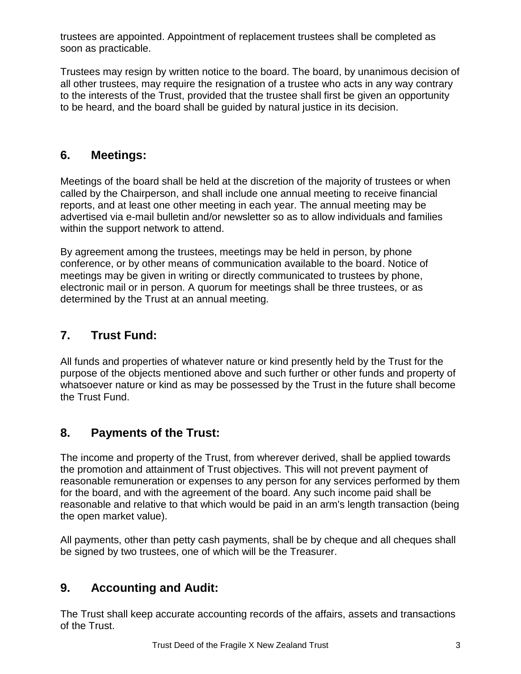trustees are appointed. Appointment of replacement trustees shall be completed as soon as practicable.

Trustees may resign by written notice to the board. The board, by unanimous decision of all other trustees, may require the resignation of a trustee who acts in any way contrary to the interests of the Trust, provided that the trustee shall first be given an opportunity to be heard, and the board shall be guided by natural justice in its decision.

### **6. Meetings:**

Meetings of the board shall be held at the discretion of the majority of trustees or when called by the Chairperson, and shall include one annual meeting to receive financial reports, and at least one other meeting in each year. The annual meeting may be advertised via e-mail bulletin and/or newsletter so as to allow individuals and families within the support network to attend.

By agreement among the trustees, meetings may be held in person, by phone conference, or by other means of communication available to the board. Notice of meetings may be given in writing or directly communicated to trustees by phone, electronic mail or in person. A quorum for meetings shall be three trustees, or as determined by the Trust at an annual meeting.

### **7. Trust Fund:**

All funds and properties of whatever nature or kind presently held by the Trust for the purpose of the objects mentioned above and such further or other funds and property of whatsoever nature or kind as may be possessed by the Trust in the future shall become the Trust Fund.

# **8. Payments of the Trust:**

The income and property of the Trust, from wherever derived, shall be applied towards the promotion and attainment of Trust objectives. This will not prevent payment of reasonable remuneration or expenses to any person for any services performed by them for the board, and with the agreement of the board. Any such income paid shall be reasonable and relative to that which would be paid in an arm's length transaction (being the open market value).

All payments, other than petty cash payments, shall be by cheque and all cheques shall be signed by two trustees, one of which will be the Treasurer.

# **9. Accounting and Audit:**

The Trust shall keep accurate accounting records of the affairs, assets and transactions of the Trust.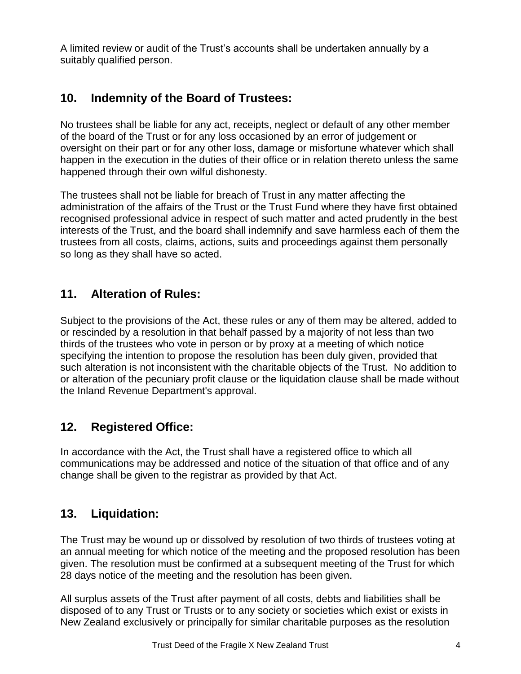A limited review or audit of the Trust's accounts shall be undertaken annually by a suitably qualified person.

### **10. Indemnity of the Board of Trustees:**

No trustees shall be liable for any act, receipts, neglect or default of any other member of the board of the Trust or for any loss occasioned by an error of judgement or oversight on their part or for any other loss, damage or misfortune whatever which shall happen in the execution in the duties of their office or in relation thereto unless the same happened through their own wilful dishonesty.

The trustees shall not be liable for breach of Trust in any matter affecting the administration of the affairs of the Trust or the Trust Fund where they have first obtained recognised professional advice in respect of such matter and acted prudently in the best interests of the Trust, and the board shall indemnify and save harmless each of them the trustees from all costs, claims, actions, suits and proceedings against them personally so long as they shall have so acted.

### **11. Alteration of Rules:**

Subject to the provisions of the Act, these rules or any of them may be altered, added to or rescinded by a resolution in that behalf passed by a majority of not less than two thirds of the trustees who vote in person or by proxy at a meeting of which notice specifying the intention to propose the resolution has been duly given, provided that such alteration is not inconsistent with the charitable objects of the Trust. No addition to or alteration of the pecuniary profit clause or the liquidation clause shall be made without the Inland Revenue Department's approval.

# **12. Registered Office:**

In accordance with the Act, the Trust shall have a registered office to which all communications may be addressed and notice of the situation of that office and of any change shall be given to the registrar as provided by that Act.

# **13. Liquidation:**

The Trust may be wound up or dissolved by resolution of two thirds of trustees voting at an annual meeting for which notice of the meeting and the proposed resolution has been given. The resolution must be confirmed at a subsequent meeting of the Trust for which 28 days notice of the meeting and the resolution has been given.

All surplus assets of the Trust after payment of all costs, debts and liabilities shall be disposed of to any Trust or Trusts or to any society or societies which exist or exists in New Zealand exclusively or principally for similar charitable purposes as the resolution